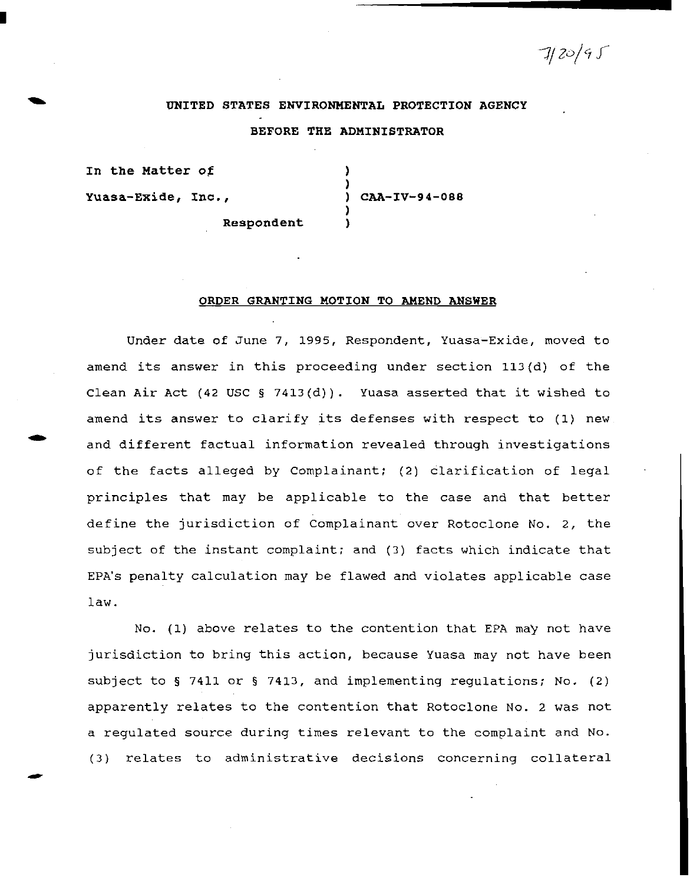7/20/9 S

## **UNITED STATES ENVIRONMENTAL PROTECTION AGENCY**

## **BEFORE THE ADMINISTRATOR**

In the Matter of (1)

I

-

) **Yuasa-Exide, Inc.,** ) **CAA-IV-94-088**  )

**Respondent** )

## **ORDER GRANTING MOTION TO AMEND ANSWER**

Under date of June 7, 1995, Respondent, Yuasa~Exide, moved to amend its answer in this proceeding under section 113(d) of the Clean Air Act (42 USC § 7413(d)). Yuasa asserted that it wished to amend its answer to clarify its defenses with respect to (1) new and different factual information revealed through investigations of the facts alleged by Complainant; (2) clarification of legal principles that may be applicable to the case and that better define the jurisdiction of Complainant over Rotoclone No. 2, the subject of the instant complaint; and (3) facts which indicate that EPA's penalty calculation may be flawed and violates applicable case law.

No. (1) above relates to the contention that EPA may not have jurisdiction to bring this action, because Yuasa may not have been subject to § 7411 or § 7413, and implementing regulations; No. (2) apparently relates to the contention that Rotoclone No. 2 was not a regulated source during times relevant to the complaint and No. (3) relates to administrative decisions concerning collateral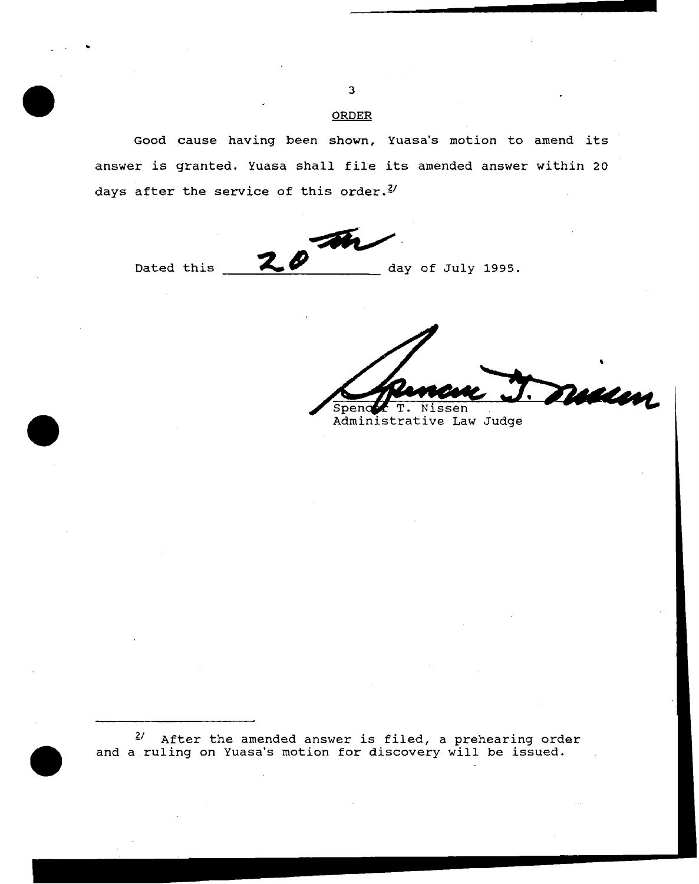Good cause having been shown, Yuasa's motion to amend its answer is granted. Yuasa shall file its amended answer within 20 days after the service of this order.<sup>2/</sup>

Dated this  $20 - m$ 

~ *IJ* day of July 1995.

Walen T. Nissen Spend

Administrative Law Judge

 $f^{2/2}$  After the amended answer is filed, a prehearing order and a ruling on Yuasa's motion for discovery will be issued.

**ORDER** 

..